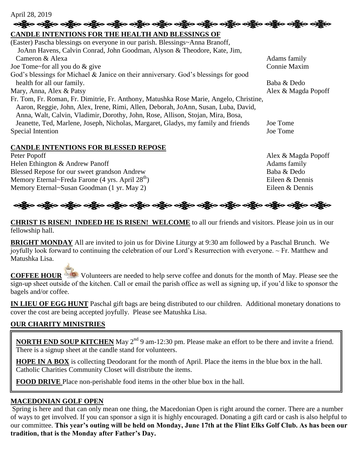#### April 28, 2019

# **ေးရွို့လ ခရွိလ ခရွိလ ခရွိလ ခရွိလ ခရွိလ ခရွိလ ခရွိလ ခရွိလ ခရွိလ ခရွိလ ခရွိလ ခရွိလ ခရွိလ ခရွိလ**

### **CANDLE INTENTIONS FOR THE HEALTH AND BLESSINGS OF**  (Easter) Pascha blessings on everyone in our parish. Blessings~Anna Branoff, JoAnn Havens, Calvin Conrad, John Goodman, Alyson & Theodore, Kate, Jim, Cameron & Alexa Adams family Joe Tome~for all you do & give Connie Maxim God's blessings for Michael & Janice on their anniversary. God's blessings for good health for all our family. Baba & Dedo Mary, Anna, Alex & Patsy Alex & Magda Popoff Fr. Tom, Fr. Roman, Fr. Dimitrie, Fr. Anthony, Matushka Rose Marie, Angelo, Christine, Aaron, Reggie, John, Alex, Irene, Rimi, Allen, Deborah, JoAnn, Susan, Luba, David, Anna, Walt, Calvin, Vladimir, Dorothy, John, Rose, Allison, Stojan, Mira, Bosa, Jeanette, Ted, Marlene, Joseph, Nicholas, Margaret, Gladys, my family and friends Joe Tome Special Intention Joe Tome

### **CANDLE INTENTIONS FOR BLESSED REPOSE**

Peter Popoff Alex & Magda Popoff Helen Ethington & Andrew Panoff **Adams** family Blessed Repose for our sweet grandson Andrew Baba & Dedo Memory Eternal~Freda Farone (4 yrs. April  $28<sup>th</sup>$ ) Eileen & Dennis Memory Eternal~Susan Goodman (1 yr. May 2) Eileen & Dennis

## ઓફ્રેન ઓફ્રેન ઓફ્રેન એફ્રેન ઓફ્રેન ઓફ્રેન ઓફ્રેન ઓફ્રેન એફ્રેન એફ્રેન એફ્રેન એફ્રેન એફ્રેન એફ્રેન

**CHRIST IS RISEN! INDEED HE IS RISEN! WELCOME** to all our friends and visitors. Please join us in our fellowship hall.

**BRIGHT MONDAY** All are invited to join us for Divine Liturgy at 9:30 am followed by a Paschal Brunch. We joyfully look forward to continuing the celebration of our Lord's Resurrection with everyone. ~ Fr. Matthew and Matushka Lisa.

**COFFEE HOUR** Volunteers are needed to help serve coffee and donuts for the month of May. Please see the sign-up sheet outside of the kitchen. Call or email the parish office as well as signing up, if you'd like to sponsor the bagels and/or coffee.

**IN LIEU OF EGG HUNT** Paschal gift bags are being distributed to our children. Additional monetary donations to cover the cost are being accepted joyfully. Please see Matushka Lisa.

### **OUR CHARITY MINISTRIES**

**NORTH END SOUP KITCHEN** May 2<sup>nd</sup> 9 am-12:30 pm. Please make an effort to be there and invite a friend. There is a signup sheet at the candle stand for volunteers.

**HOPE IN A BOX** is collecting Deodorant for the month of April. Place the items in the blue box in the hall. Catholic Charities Community Closet will distribute the items.

**FOOD DRIVE** Place non-perishable food items in the other blue box in the hall.

### **MACEDONIAN GOLF OPEN**

Spring is here and that can only mean one thing, the Macedonian Open is right around the corner. There are a number of ways to get involved. If you can sponsor a sign it is highly encouraged. Donating a gift card or cash is also helpful to our committee. **This year's outing will be held on Monday, June 17th at the Flint Elks Golf Club. As has been our tradition, that is the Monday after Father's Day.**